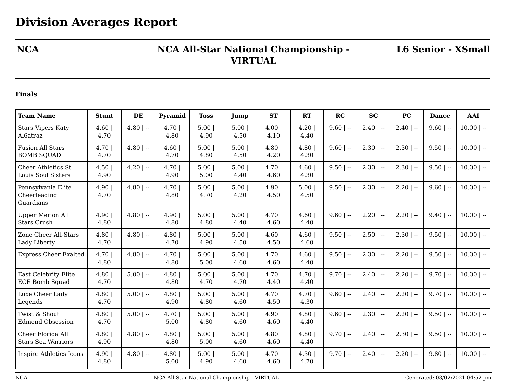## **NCA NCA All-Star National Championship - VIRTUAL**

**L6 Senior - XSmall**

## **Finals**

| <b>Team Name</b>                                     | <b>Stunt</b> | DE           | Pyramid       | <b>Toss</b>  | Jump         | <b>ST</b>      | RT             | RC          | <b>SC</b>    | <b>PC</b>    | <b>Dance</b> | AAI          |
|------------------------------------------------------|--------------|--------------|---------------|--------------|--------------|----------------|----------------|-------------|--------------|--------------|--------------|--------------|
| <b>Stars Vipers Katy</b><br>Al6atraz                 | 4.60<br>4.70 | $4.80$   --  | 4.70 <br>4.80 | 5.00<br>4.90 | 5.00<br>4.50 | 4.00<br>4.10   | 4.20<br>4.40   | $9.60$   -- | $2.40$   $-$ | $2.40$   --  | $9.60$   --  | $10.00$   -- |
| <b>Fusion All Stars</b><br><b>BOMB SQUAD</b>         | 4.70<br>4.70 | $4.80$   --  | 4.60<br>4.70  | 5.00<br>4.80 | 5.00<br>4.50 | 4.80<br>4.20   | 4.80<br>4.30   | $9.60$   -- | $2.30$   $-$ | $2.30$   $-$ | $9.50$   --  | $10.00$   -- |
| Cheer Athletics St.<br><b>Louis Soul Sisters</b>     | 4.50<br>4.90 | $4.20$   $-$ | 4.70 <br>4.90 | 5.00<br>5.00 | 5.00<br>4.40 | 4.701<br>4.60  | 4.60<br>4.30   | $9.50$   -- | $2.30$   $-$ | $2.30$   --  | $9.50$   --  | $10.00$   -- |
| Pennsylvania Elite<br>Cheerleading<br>Guardians      | 4.90<br>4.70 | $4.80$   --  | 4.70<br>4.80  | 5.00<br>4.70 | 5.00<br>4.20 | 4.90 <br>4.50  | 5.00<br>4.50   | $9.50$   -- | $2.30$   --  | $2.20$   --  | $9.60$   --  | $10.00$   -- |
| <b>Upper Merion All</b><br><b>Stars Crush</b>        | 4.90<br>4.80 | $4.80$   --  | 4.90<br>4.80  | 5.00<br>4.80 | 5.00<br>4.40 | 4.70<br>4.60   | 4.60<br>4.40   | $9.60$   -- | $2.20$   $-$ | $2.20$   --  | $9.40$   --  | $10.00$   -- |
| Zone Cheer All-Stars<br>Lady Liberty                 | 4.80<br>4.70 | $4.80$   --  | 4.80<br>4.70  | 5.00<br>4.90 | 5.00<br>4.50 | 4.60<br>4.50   | 4.60<br>4.60   | $9.50$   -- | $2.50$   $-$ | $2.30$   --  | $9.50$   --  | $10.00$   -- |
| <b>Express Cheer Exalted</b>                         | 4.70<br>4.80 | $4.80$   --  | 4.701<br>4.80 | 5.00<br>5.00 | 5.00<br>4.60 | 4.70  <br>4.60 | 4.60<br>4.40   | $9.50$   -- | $2.30$   $-$ | $2.20$   --  | $9.50$   --  | $10.00$   -- |
| <b>East Celebrity Elite</b><br><b>ECE Bomb Squad</b> | 4.80<br>4.70 | $5.00$   --  | 4.80<br>4.80  | 5.00<br>4.70 | 5.00<br>4.70 | 4.70<br>4.40   | 4.70  <br>4.40 | $9.70$   -- | $2.40$   $-$ | $2.20$   --  | $9.70$   --  | $10.00$   -- |
| Luxe Cheer Lady<br>Legends                           | 4.80<br>4.70 | $5.00$   --  | 4.80<br>4.90  | 5.00<br>4.80 | 5.00<br>4.60 | 4.70  <br>4.50 | 4.70<br>4.30   | $9.60$   -- | $2.40$   $-$ | $2.20$   --  | $9.70$   --  | $10.00$   -- |
| Twist & Shout<br><b>Edmond Obsession</b>             | 4.80<br>4.70 | $5.00$   --  | 4.701<br>5.00 | 5.00<br>4.80 | 5.00<br>4.60 | 4.90<br>4.60   | 4.80<br>4.40   | $9.60$   -- | $2.30$   $-$ | $2.20$   --  | $9.50$   --  | $10.00$   -- |
| Cheer Florida All<br><b>Stars Sea Warriors</b>       | 4.80<br>4.90 | $4.80$   --  | 4.80<br>4.80  | 5.00<br>5.00 | 5.00<br>4.60 | 4.80<br>4.60   | 4.80<br>4.40   | $9.70$   -- | $2.40$   $-$ | $2.30$   --  | $9.50$   --  | $10.00$   -- |
| Inspire Athletics Icons                              | 4.90<br>4.80 | $4.80$   --  | 4.80<br>5.00  | 5.00<br>4.90 | 5.00<br>4.60 | 4.70<br>4.60   | 4.30<br>4.70   | $9.70$   -- | $2.40$   $-$ | $2.20$   --  | $9.80$   --  | $10.00$   -- |